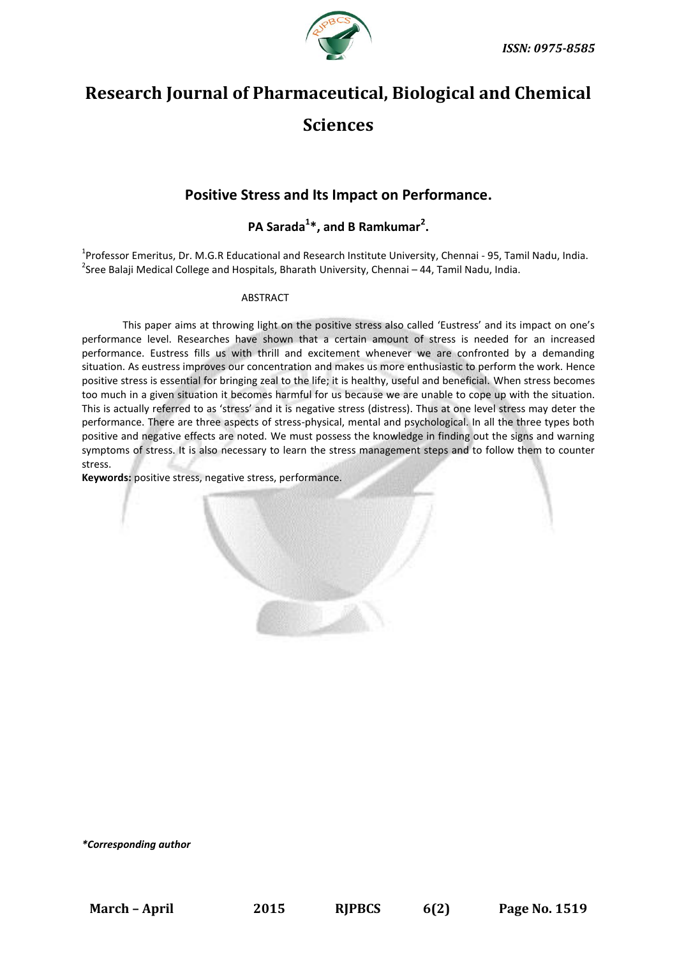

# **Research Journal of Pharmaceutical, Biological and Chemical Sciences**

# **Positive Stress and Its Impact on Performance.**

# **PA Sarada<sup>1</sup> \*, and B Ramkumar<sup>2</sup> .**

<sup>1</sup>Professor Emeritus, Dr. M.G.R Educational and Research Institute University, Chennai - 95, Tamil Nadu, India. <sup>2</sup>Sree Balaji Medical College and Hospitals, Bharath University, Chennai – 44, Tamil Nadu, India.

# **ABSTRACT**

This paper aims at throwing light on the positive stress also called 'Eustress' and its impact on one's performance level. Researches have shown that a certain amount of stress is needed for an increased performance. Eustress fills us with thrill and excitement whenever we are confronted by a demanding situation. As eustress improves our concentration and makes us more enthusiastic to perform the work. Hence positive stress is essential for bringing zeal to the life; it is healthy, useful and beneficial. When stress becomes too much in a given situation it becomes harmful for us because we are unable to cope up with the situation. This is actually referred to as 'stress' and it is negative stress (distress). Thus at one level stress may deter the performance. There are three aspects of stress-physical, mental and psychological. In all the three types both positive and negative effects are noted. We must possess the knowledge in finding out the signs and warning symptoms of stress. It is also necessary to learn the stress management steps and to follow them to counter stress.

**Keywords:** positive stress, negative stress, performance.

*\*Corresponding author*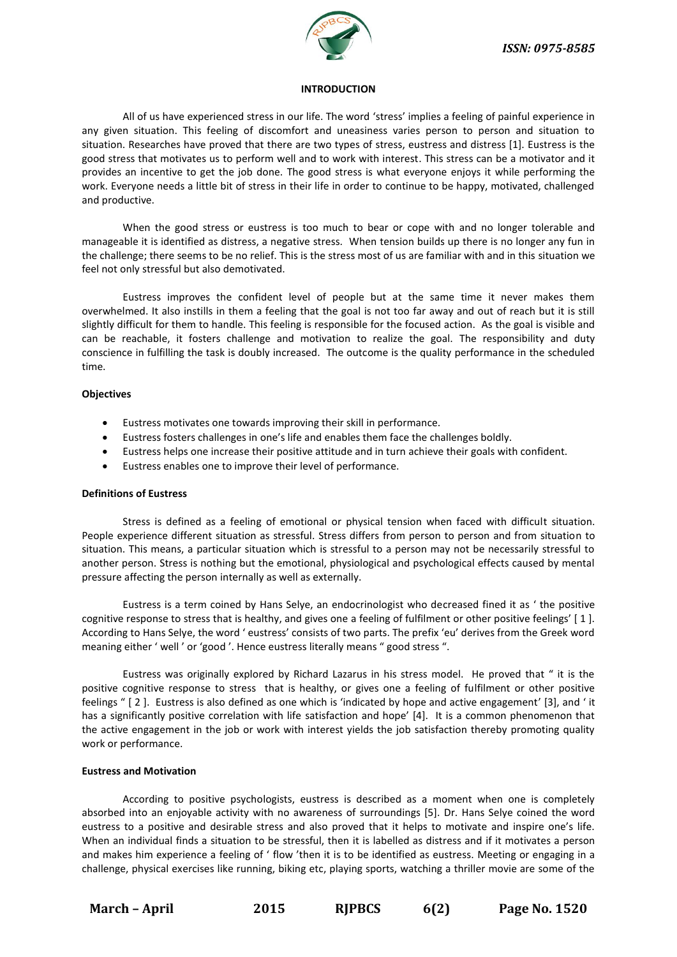

#### **INTRODUCTION**

All of us have experienced stress in our life. The word 'stress' implies a feeling of painful experience in any given situation. This feeling of discomfort and uneasiness varies person to person and situation to situation. Researches have proved that there are two types of stress, eustress and distress [1]. Eustress is the good stress that motivates us to perform well and to work with interest. This stress can be a motivator and it provides an incentive to get the job done. The good stress is what everyone enjoys it while performing the work. Everyone needs a little bit of stress in their life in order to continue to be happy, motivated, challenged and productive.

When the good stress or eustress is too much to bear or cope with and no longer tolerable and manageable it is identified as distress, a negative stress. When tension builds up there is no longer any fun in the challenge; there seems to be no relief. This is the stress most of us are familiar with and in this situation we feel not only stressful but also demotivated.

Eustress improves the confident level of people but at the same time it never makes them overwhelmed. It also instills in them a feeling that the goal is not too far away and out of reach but it is still slightly difficult for them to handle. This feeling is responsible for the focused action. As the goal is visible and can be reachable, it fosters challenge and motivation to realize the goal. The responsibility and duty conscience in fulfilling the task is doubly increased. The outcome is the quality performance in the scheduled time.

# **Objectives**

- Eustress motivates one towards improving their skill in performance.
- Eustress fosters challenges in one's life and enables them face the challenges boldly.
- Eustress helps one increase their positive attitude and in turn achieve their goals with confident.
- Eustress enables one to improve their level of performance.

# **Definitions of Eustress**

Stress is defined as a feeling of emotional or physical tension when faced with difficult situation. People experience different situation as stressful. Stress differs from person to person and from situation to situation. This means, a particular situation which is stressful to a person may not be necessarily stressful to another person. Stress is nothing but the emotional, physiological and psychological effects caused by mental pressure affecting the person internally as well as externally.

Eustress is a term coined by Hans Selye, an endocrinologist who decreased fined it as ' the positive cognitive response to stress that is healthy, and gives one a feeling of fulfilment or other positive feelings' [ 1 ]. According to Hans Selye, the word ' eustress' consists of two parts. The prefix 'eu' derives from the Greek word meaning either ' well ' or 'good '. Hence eustress literally means " good stress ".

Eustress was originally explored by Richard Lazarus in his stress model. He proved that " it is the positive cognitive response to stress that is healthy, or gives one a feeling of fulfilment or other positive feelings " [ 2 ]. Eustress is also defined as one which is 'indicated by hope and active engagement' [3], and ' it has a significantly positive correlation with life satisfaction and hope' [4]. It is a common phenomenon that the active engagement in the job or work with interest yields the job satisfaction thereby promoting quality work or performance.

# **Eustress and Motivation**

According to positive psychologists, eustress is described as a moment when one is completely absorbed into an enjoyable activity with no awareness of surroundings [5]. Dr. Hans Selye coined the word eustress to a positive and desirable stress and also proved that it helps to motivate and inspire one's life. When an individual finds a situation to be stressful, then it is labelled as distress and if it motivates a person and makes him experience a feeling of ' flow 'then it is to be identified as eustress. Meeting or engaging in a challenge, physical exercises like running, biking etc, playing sports, watching a thriller movie are some of the

**March – April 2015 RJPBCS 6(2) Page No. 1520**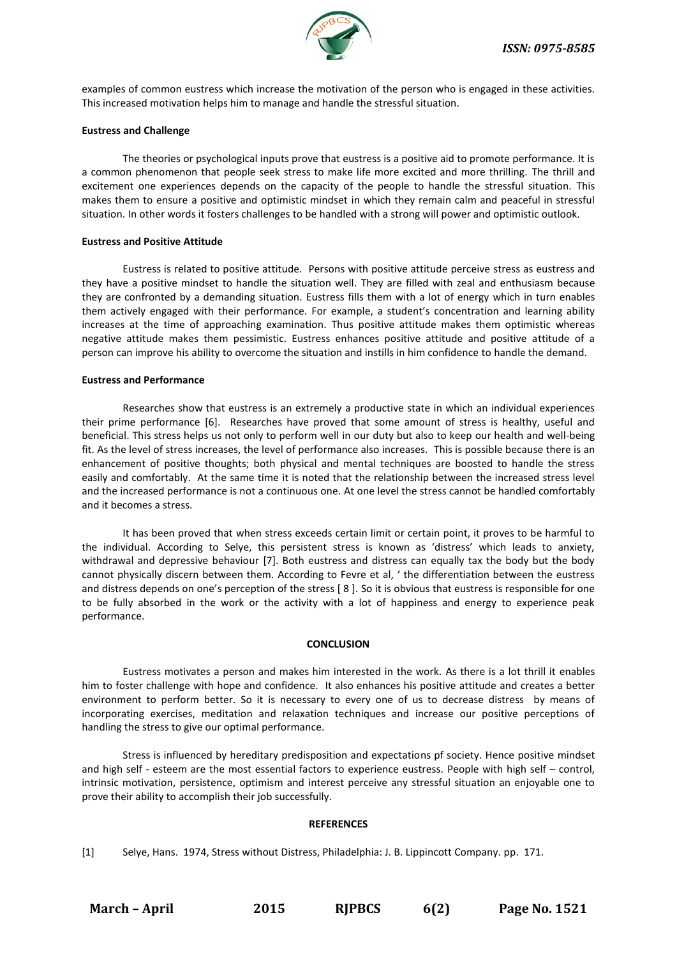

examples of common eustress which increase the motivation of the person who is engaged in these activities. This increased motivation helps him to manage and handle the stressful situation.

# **Eustress and Challenge**

The theories or psychological inputs prove that eustress is a positive aid to promote performance. It is a common phenomenon that people seek stress to make life more excited and more thrilling. The thrill and excitement one experiences depends on the capacity of the people to handle the stressful situation. This makes them to ensure a positive and optimistic mindset in which they remain calm and peaceful in stressful situation. In other words it fosters challenges to be handled with a strong will power and optimistic outlook.

# **Eustress and Positive Attitude**

Eustress is related to positive attitude. Persons with positive attitude perceive stress as eustress and they have a positive mindset to handle the situation well. They are filled with zeal and enthusiasm because they are confronted by a demanding situation. Eustress fills them with a lot of energy which in turn enables them actively engaged with their performance. For example, a student's concentration and learning ability increases at the time of approaching examination. Thus positive attitude makes them optimistic whereas negative attitude makes them pessimistic. Eustress enhances positive attitude and positive attitude of a person can improve his ability to overcome the situation and instills in him confidence to handle the demand.

# **Eustress and Performance**

Researches show that eustress is an extremely a productive state in which an individual experiences their prime performance [6]. Researches have proved that some amount of stress is healthy, useful and beneficial. This stress helps us not only to perform well in our duty but also to keep our health and well-being fit. As the level of stress increases, the level of performance also increases. This is possible because there is an enhancement of positive thoughts; both physical and mental techniques are boosted to handle the stress easily and comfortably. At the same time it is noted that the relationship between the increased stress level and the increased performance is not a continuous one. At one level the stress cannot be handled comfortably and it becomes a stress.

It has been proved that when stress exceeds certain limit or certain point, it proves to be harmful to the individual. According to Selye, this persistent stress is known as 'distress' which leads to anxiety, withdrawal and depressive behaviour [7]. Both eustress and distress can equally tax the body but the body cannot physically discern between them. According to Fevre et al, ' the differentiation between the eustress and distress depends on one's perception of the stress [ 8 ]. So it is obvious that eustress is responsible for one to be fully absorbed in the work or the activity with a lot of happiness and energy to experience peak performance.

#### **CONCLUSION**

Eustress motivates a person and makes him interested in the work. As there is a lot thrill it enables him to foster challenge with hope and confidence. It also enhances his positive attitude and creates a better environment to perform better. So it is necessary to every one of us to decrease distress by means of incorporating exercises, meditation and relaxation techniques and increase our positive perceptions of handling the stress to give our optimal performance.

Stress is influenced by hereditary predisposition and expectations pf society. Hence positive mindset and high self - esteem are the most essential factors to experience eustress. People with high self – control, intrinsic motivation, persistence, optimism and interest perceive any stressful situation an enjoyable one to prove their ability to accomplish their job successfully.

#### **REFERENCES**

[1] Selye, Hans. 1974, Stress without Distress, Philadelphia: J. B. Lippincott Company. pp. 171.